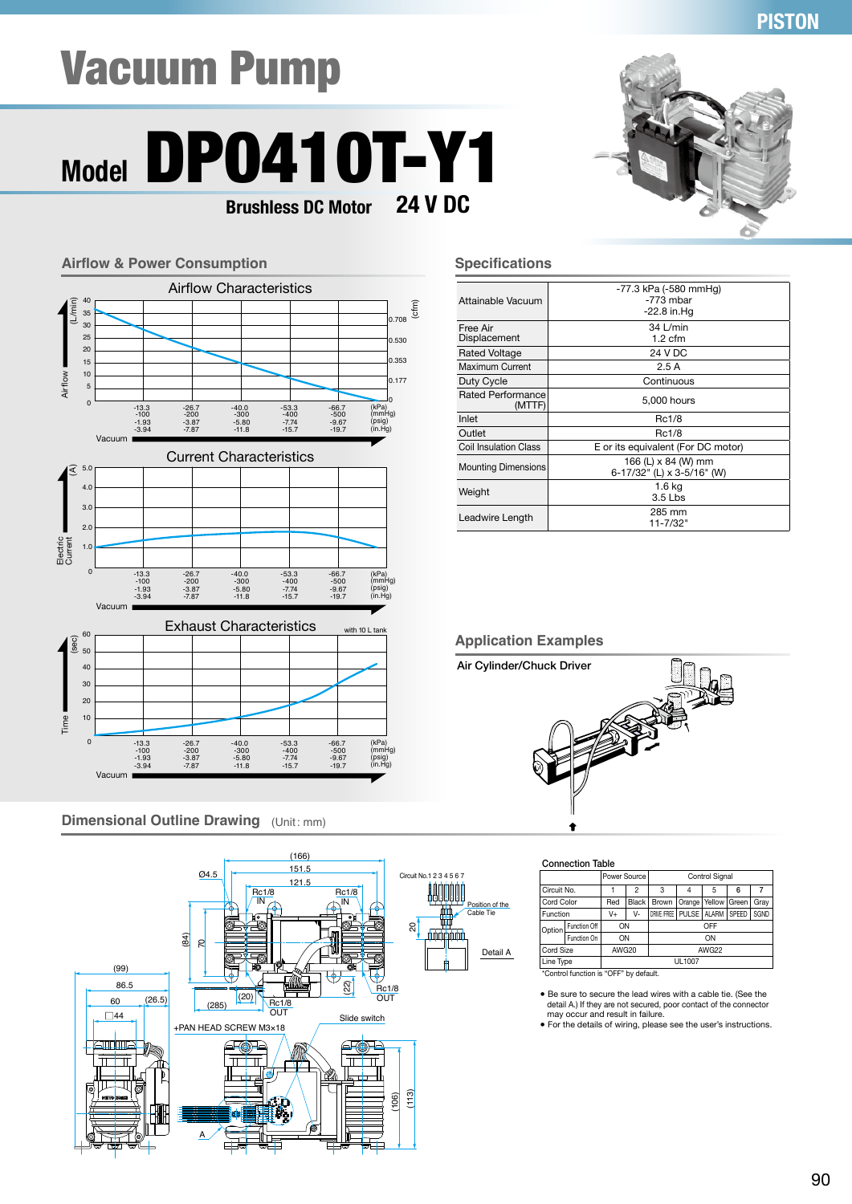### **PISTON**

## Vacuum Pump

### **Model** DP0410T-Y1 **24 V DC Brushless DC Motor**



#### **Dimensional Outline Drawing** (Unit: mm)



#### **Specifications**

| Attainable Vacuum            | -77.3 kPa (-580 mmHq)<br>$-773$ mbar<br>$-22.8$ in Hq |  |  |  |  |
|------------------------------|-------------------------------------------------------|--|--|--|--|
| Free Air<br>Displacement     | 34 L/min<br>$1.2 \text{ cfm}$                         |  |  |  |  |
| Rated Voltage                | 24 V DC                                               |  |  |  |  |
| Maximum Current              | 2.5A                                                  |  |  |  |  |
| Duty Cycle                   | Continuous                                            |  |  |  |  |
| Rated Performance<br>(MTTF)  | 5,000 hours                                           |  |  |  |  |
| Inlet                        | Rc1/8                                                 |  |  |  |  |
| Outlet                       | Rc1/8                                                 |  |  |  |  |
| <b>Coil Insulation Class</b> | E or its equivalent (For DC motor)                    |  |  |  |  |
| <b>Mounting Dimensions</b>   | 166 (L) x 84 (W) mm<br>6-17/32" (L) x 3-5/16" (W)     |  |  |  |  |
| Weight                       | 1.6 kg<br>3.5 Lbs                                     |  |  |  |  |
| Leadwire Length              | 285 mm<br>11-7/32"                                    |  |  |  |  |

#### **Application Examples**



#### Connection Table

|           |                                            | Power Source |                                                     | Control Signal |  |      |   |  |  |
|-----------|--------------------------------------------|--------------|-----------------------------------------------------|----------------|--|------|---|--|--|
|           | Circuit No.                                |              | $\overline{c}$                                      | 3              |  | 5    | 6 |  |  |
|           | Cord Color<br>Red<br><b>Black</b><br>Brown |              | Orange                                              | Yellow   Green |  | Gray |   |  |  |
| Function  |                                            | V+           | DRIVE /FREE<br>PULSE   ALARM<br>SPEED<br>SGND<br>V- |                |  |      |   |  |  |
| Option    | Function Off                               | ON           |                                                     | OFF            |  |      |   |  |  |
|           | Function On                                | ON           |                                                     | ON             |  |      |   |  |  |
| Cord Size |                                            | AWG20        |                                                     | AWG22          |  |      |   |  |  |
| Line Type |                                            | UL1007       |                                                     |                |  |      |   |  |  |
|           | *Control function is "OFF" by default.     |              |                                                     |                |  |      |   |  |  |

● Be sure to secure the lead wires with a cable tie. (See the detail A.) If they are not secured, poor contact of the connector

may occur and result in failure. ● For the details of wiring, please see the user's instructions.